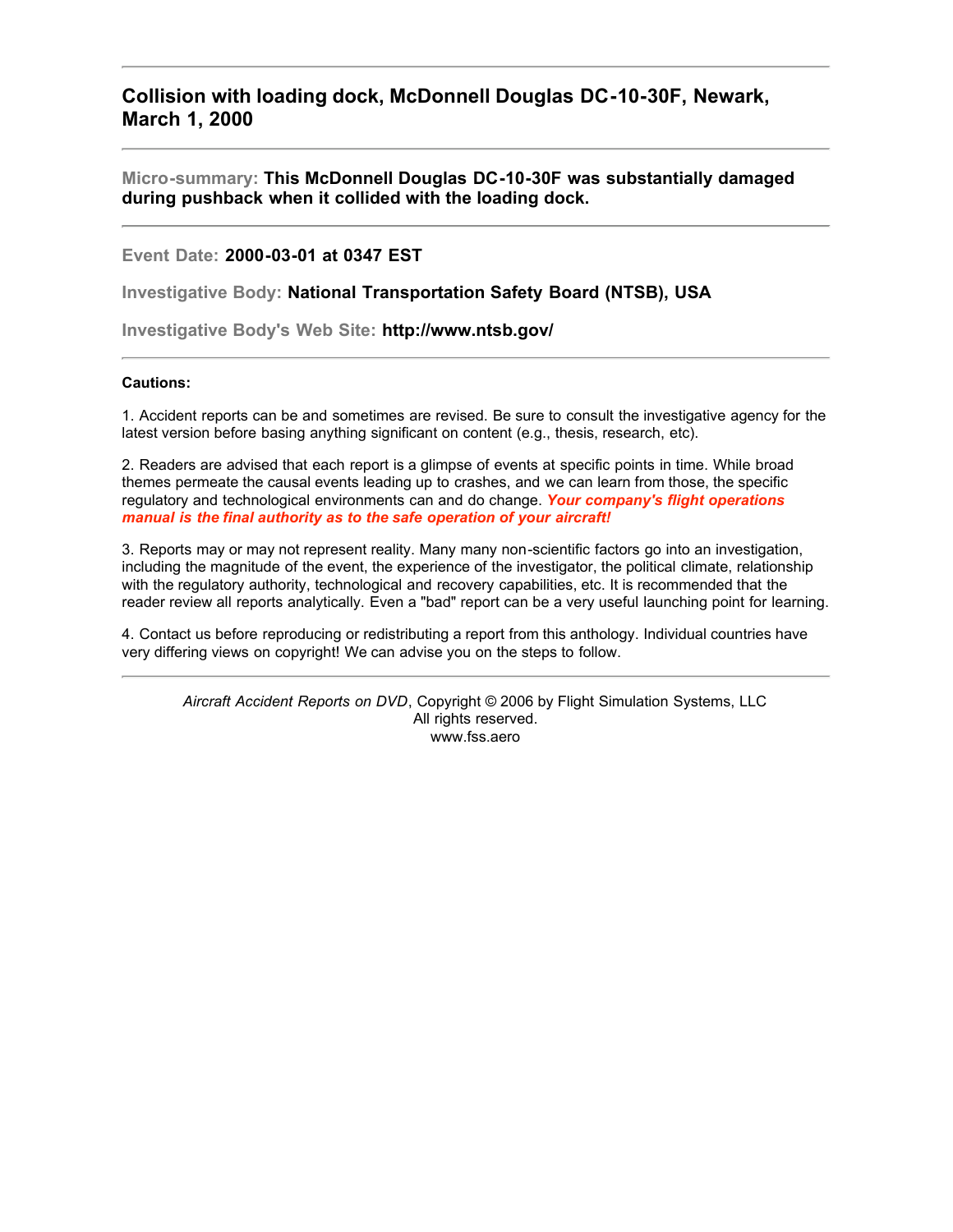**Collision with loading dock, McDonnell Douglas DC-10-30F, Newark, March 1, 2000**

**Micro-summary: This McDonnell Douglas DC-10-30F was substantially damaged during pushback when it collided with the loading dock.**

**Event Date: 2000-03-01 at 0347 EST**

**Investigative Body: National Transportation Safety Board (NTSB), USA**

**Investigative Body's Web Site: http://www.ntsb.gov/**

## **Cautions:**

1. Accident reports can be and sometimes are revised. Be sure to consult the investigative agency for the latest version before basing anything significant on content (e.g., thesis, research, etc).

2. Readers are advised that each report is a glimpse of events at specific points in time. While broad themes permeate the causal events leading up to crashes, and we can learn from those, the specific regulatory and technological environments can and do change. *Your company's flight operations manual is the final authority as to the safe operation of your aircraft!*

3. Reports may or may not represent reality. Many many non-scientific factors go into an investigation, including the magnitude of the event, the experience of the investigator, the political climate, relationship with the regulatory authority, technological and recovery capabilities, etc. It is recommended that the reader review all reports analytically. Even a "bad" report can be a very useful launching point for learning.

4. Contact us before reproducing or redistributing a report from this anthology. Individual countries have very differing views on copyright! We can advise you on the steps to follow.

*Aircraft Accident Reports on DVD*, Copyright © 2006 by Flight Simulation Systems, LLC All rights reserved. www.fss.aero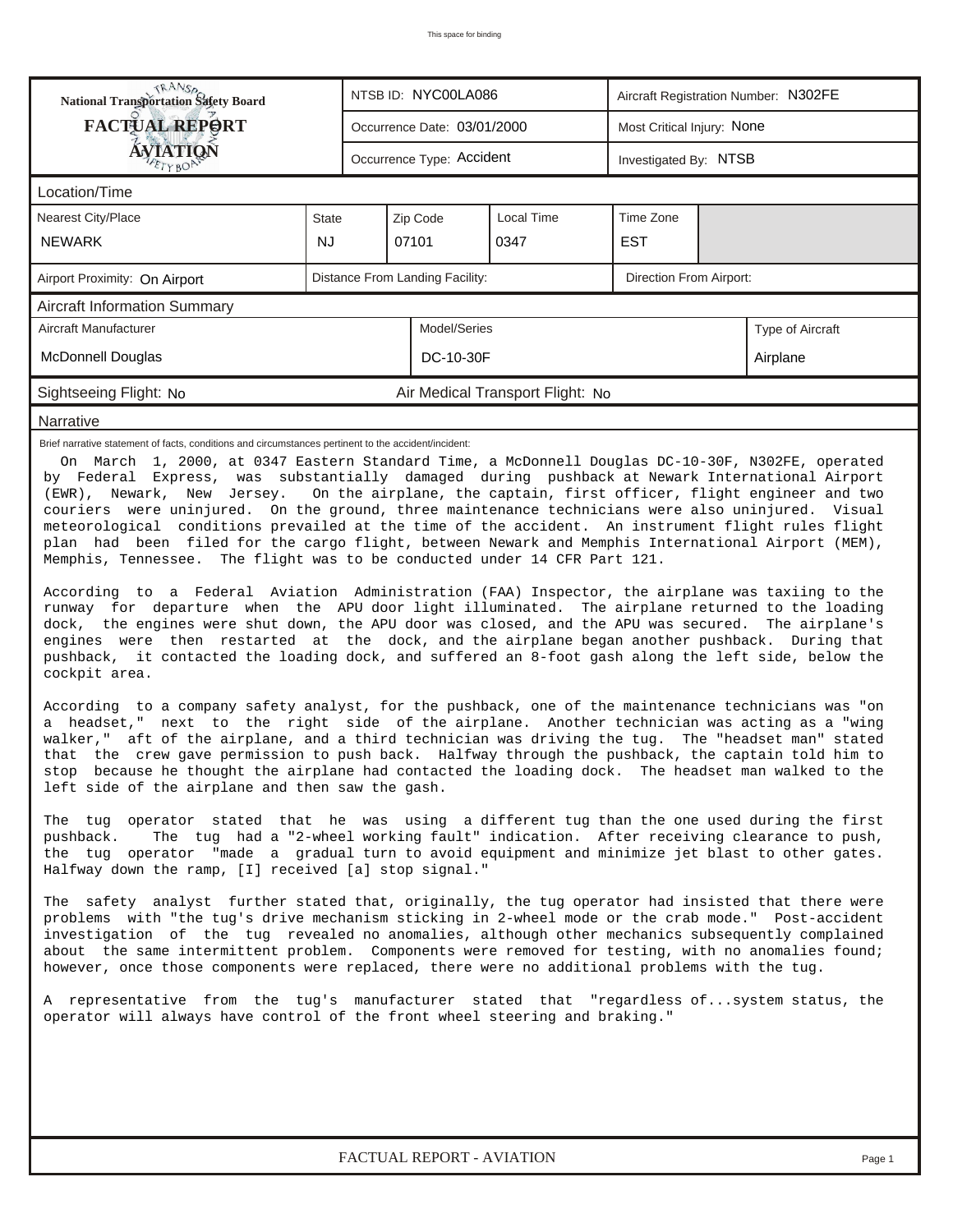| <b>National Transportation Safety Board</b>                                                                                                                                                                                                                                                                                                                                                                                                                                                                                                                                                                                                                                                                                                                                                                                                                                                                                                                                                                                                                                                                                                                                                                                                                                                                                                                                                                                                                                                                                                                                                                                                                                                                                                                                                                                                                                                                                                                                                                                                                                                                                                                                                                                                                                                                                                                                                                                                                                                                                                                                                                                                                                                                                                                                                                                                                                                                                                                                                     |           |                           | NTSB ID: NYC00LA086 |                             | Aircraft Registration Number: N302FE |                            |                         |  |  |  |  |
|-------------------------------------------------------------------------------------------------------------------------------------------------------------------------------------------------------------------------------------------------------------------------------------------------------------------------------------------------------------------------------------------------------------------------------------------------------------------------------------------------------------------------------------------------------------------------------------------------------------------------------------------------------------------------------------------------------------------------------------------------------------------------------------------------------------------------------------------------------------------------------------------------------------------------------------------------------------------------------------------------------------------------------------------------------------------------------------------------------------------------------------------------------------------------------------------------------------------------------------------------------------------------------------------------------------------------------------------------------------------------------------------------------------------------------------------------------------------------------------------------------------------------------------------------------------------------------------------------------------------------------------------------------------------------------------------------------------------------------------------------------------------------------------------------------------------------------------------------------------------------------------------------------------------------------------------------------------------------------------------------------------------------------------------------------------------------------------------------------------------------------------------------------------------------------------------------------------------------------------------------------------------------------------------------------------------------------------------------------------------------------------------------------------------------------------------------------------------------------------------------------------------------------------------------------------------------------------------------------------------------------------------------------------------------------------------------------------------------------------------------------------------------------------------------------------------------------------------------------------------------------------------------------------------------------------------------------------------------------------------------|-----------|---------------------------|---------------------|-----------------------------|--------------------------------------|----------------------------|-------------------------|--|--|--|--|
| <b>FACTUAL REPORT</b>                                                                                                                                                                                                                                                                                                                                                                                                                                                                                                                                                                                                                                                                                                                                                                                                                                                                                                                                                                                                                                                                                                                                                                                                                                                                                                                                                                                                                                                                                                                                                                                                                                                                                                                                                                                                                                                                                                                                                                                                                                                                                                                                                                                                                                                                                                                                                                                                                                                                                                                                                                                                                                                                                                                                                                                                                                                                                                                                                                           |           |                           |                     | Occurrence Date: 03/01/2000 |                                      | Most Critical Injury: None |                         |  |  |  |  |
| AVIATION                                                                                                                                                                                                                                                                                                                                                                                                                                                                                                                                                                                                                                                                                                                                                                                                                                                                                                                                                                                                                                                                                                                                                                                                                                                                                                                                                                                                                                                                                                                                                                                                                                                                                                                                                                                                                                                                                                                                                                                                                                                                                                                                                                                                                                                                                                                                                                                                                                                                                                                                                                                                                                                                                                                                                                                                                                                                                                                                                                                        |           | Occurrence Type: Accident |                     | Investigated By: NTSB       |                                      |                            |                         |  |  |  |  |
| Location/Time                                                                                                                                                                                                                                                                                                                                                                                                                                                                                                                                                                                                                                                                                                                                                                                                                                                                                                                                                                                                                                                                                                                                                                                                                                                                                                                                                                                                                                                                                                                                                                                                                                                                                                                                                                                                                                                                                                                                                                                                                                                                                                                                                                                                                                                                                                                                                                                                                                                                                                                                                                                                                                                                                                                                                                                                                                                                                                                                                                                   |           |                           |                     |                             |                                      |                            |                         |  |  |  |  |
| Nearest City/Place                                                                                                                                                                                                                                                                                                                                                                                                                                                                                                                                                                                                                                                                                                                                                                                                                                                                                                                                                                                                                                                                                                                                                                                                                                                                                                                                                                                                                                                                                                                                                                                                                                                                                                                                                                                                                                                                                                                                                                                                                                                                                                                                                                                                                                                                                                                                                                                                                                                                                                                                                                                                                                                                                                                                                                                                                                                                                                                                                                              | State     |                           |                     | Zip Code                    | Local Time                           | Time Zone                  |                         |  |  |  |  |
| <b>NEWARK</b>                                                                                                                                                                                                                                                                                                                                                                                                                                                                                                                                                                                                                                                                                                                                                                                                                                                                                                                                                                                                                                                                                                                                                                                                                                                                                                                                                                                                                                                                                                                                                                                                                                                                                                                                                                                                                                                                                                                                                                                                                                                                                                                                                                                                                                                                                                                                                                                                                                                                                                                                                                                                                                                                                                                                                                                                                                                                                                                                                                                   | <b>NJ</b> |                           |                     | 07101                       | 0347                                 | <b>EST</b>                 |                         |  |  |  |  |
| Distance From Landing Facility:<br>Airport Proximity: On Airport                                                                                                                                                                                                                                                                                                                                                                                                                                                                                                                                                                                                                                                                                                                                                                                                                                                                                                                                                                                                                                                                                                                                                                                                                                                                                                                                                                                                                                                                                                                                                                                                                                                                                                                                                                                                                                                                                                                                                                                                                                                                                                                                                                                                                                                                                                                                                                                                                                                                                                                                                                                                                                                                                                                                                                                                                                                                                                                                |           |                           |                     |                             |                                      |                            | Direction From Airport: |  |  |  |  |
| <b>Aircraft Information Summary</b>                                                                                                                                                                                                                                                                                                                                                                                                                                                                                                                                                                                                                                                                                                                                                                                                                                                                                                                                                                                                                                                                                                                                                                                                                                                                                                                                                                                                                                                                                                                                                                                                                                                                                                                                                                                                                                                                                                                                                                                                                                                                                                                                                                                                                                                                                                                                                                                                                                                                                                                                                                                                                                                                                                                                                                                                                                                                                                                                                             |           |                           |                     |                             |                                      |                            |                         |  |  |  |  |
| Aircraft Manufacturer                                                                                                                                                                                                                                                                                                                                                                                                                                                                                                                                                                                                                                                                                                                                                                                                                                                                                                                                                                                                                                                                                                                                                                                                                                                                                                                                                                                                                                                                                                                                                                                                                                                                                                                                                                                                                                                                                                                                                                                                                                                                                                                                                                                                                                                                                                                                                                                                                                                                                                                                                                                                                                                                                                                                                                                                                                                                                                                                                                           |           | Model/Series              |                     |                             | Type of Aircraft                     |                            |                         |  |  |  |  |
| <b>McDonnell Douglas</b>                                                                                                                                                                                                                                                                                                                                                                                                                                                                                                                                                                                                                                                                                                                                                                                                                                                                                                                                                                                                                                                                                                                                                                                                                                                                                                                                                                                                                                                                                                                                                                                                                                                                                                                                                                                                                                                                                                                                                                                                                                                                                                                                                                                                                                                                                                                                                                                                                                                                                                                                                                                                                                                                                                                                                                                                                                                                                                                                                                        |           |                           |                     | DC-10-30F                   |                                      |                            | Airplane                |  |  |  |  |
| Sightseeing Flight: No                                                                                                                                                                                                                                                                                                                                                                                                                                                                                                                                                                                                                                                                                                                                                                                                                                                                                                                                                                                                                                                                                                                                                                                                                                                                                                                                                                                                                                                                                                                                                                                                                                                                                                                                                                                                                                                                                                                                                                                                                                                                                                                                                                                                                                                                                                                                                                                                                                                                                                                                                                                                                                                                                                                                                                                                                                                                                                                                                                          |           |                           |                     |                             | Air Medical Transport Flight: No     |                            |                         |  |  |  |  |
| Narrative                                                                                                                                                                                                                                                                                                                                                                                                                                                                                                                                                                                                                                                                                                                                                                                                                                                                                                                                                                                                                                                                                                                                                                                                                                                                                                                                                                                                                                                                                                                                                                                                                                                                                                                                                                                                                                                                                                                                                                                                                                                                                                                                                                                                                                                                                                                                                                                                                                                                                                                                                                                                                                                                                                                                                                                                                                                                                                                                                                                       |           |                           |                     |                             |                                      |                            |                         |  |  |  |  |
| Brief narrative statement of facts, conditions and circumstances pertinent to the accident/incident:<br>On March 1, 2000, at 0347 Eastern Standard Time, a McDonnell Douglas DC-10-30F, N302FE, operated<br>by Federal Express, was substantially damaged during pushback at Newark International Airport<br>(EWR), Newark, New Jersey.<br>On the airplane, the captain, first officer, flight engineer and two<br>couriers were uninjured. On the ground, three maintenance technicians were also uninjured. Visual<br>meteorological conditions prevailed at the time of the accident. An instrument flight rules flight<br>plan had been filed for the cargo flight, between Newark and Memphis International Airport (MEM),<br>Memphis, Tennessee. The flight was to be conducted under 14 CFR Part 121.<br>According to a Federal Aviation Administration (FAA) Inspector, the airplane was taxiing to the<br>runway for departure when the APU door light illuminated. The airplane returned to the loading<br>dock, the engines were shut down, the APU door was closed, and the APU was secured. The airplane's<br>engines were then restarted at the dock, and the airplane began another pushback. During that<br>pushback, it contacted the loading dock, and suffered an 8-foot gash along the left side, below the<br>cockpit area.<br>According to a company safety analyst, for the pushback, one of the maintenance technicians was "on<br>a headset," next to the right side of the airplane. Another technician was acting as a "wing<br>walker," aft of the airplane, and a third technician was driving the tug. The "headset man" stated<br>that the crew gave permission to push back. Halfway through the pushback, the captain told him to<br>stop because he thought the airplane had contacted the loading dock. The headset man walked to the<br>left side of the airplane and then saw the gash.<br>The tug operator stated that he was using a different tug than the one used during the first<br>The tug had a "2-wheel working fault" indication. After receiving clearance to push,<br>pushback.<br>the tug operator "made a gradual turn to avoid equipment and minimize jet blast to other gates.<br>Halfway down the ramp, [I] received [a] stop signal."<br>The safety analyst further stated that, originally, the tug operator had insisted that there were<br>problems with "the tug's drive mechanism sticking in 2-wheel mode or the crab mode." Post-accident<br>investigation of the tug revealed no anomalies, although other mechanics subsequently complained<br>about the same intermittent problem. Components were removed for testing, with no anomalies found;<br>however, once those components were replaced, there were no additional problems with the tug.<br>A representative from the tug's manufacturer stated that "regardless ofsystem status, the<br>operator will always have control of the front wheel steering and braking." |           |                           |                     |                             |                                      |                            |                         |  |  |  |  |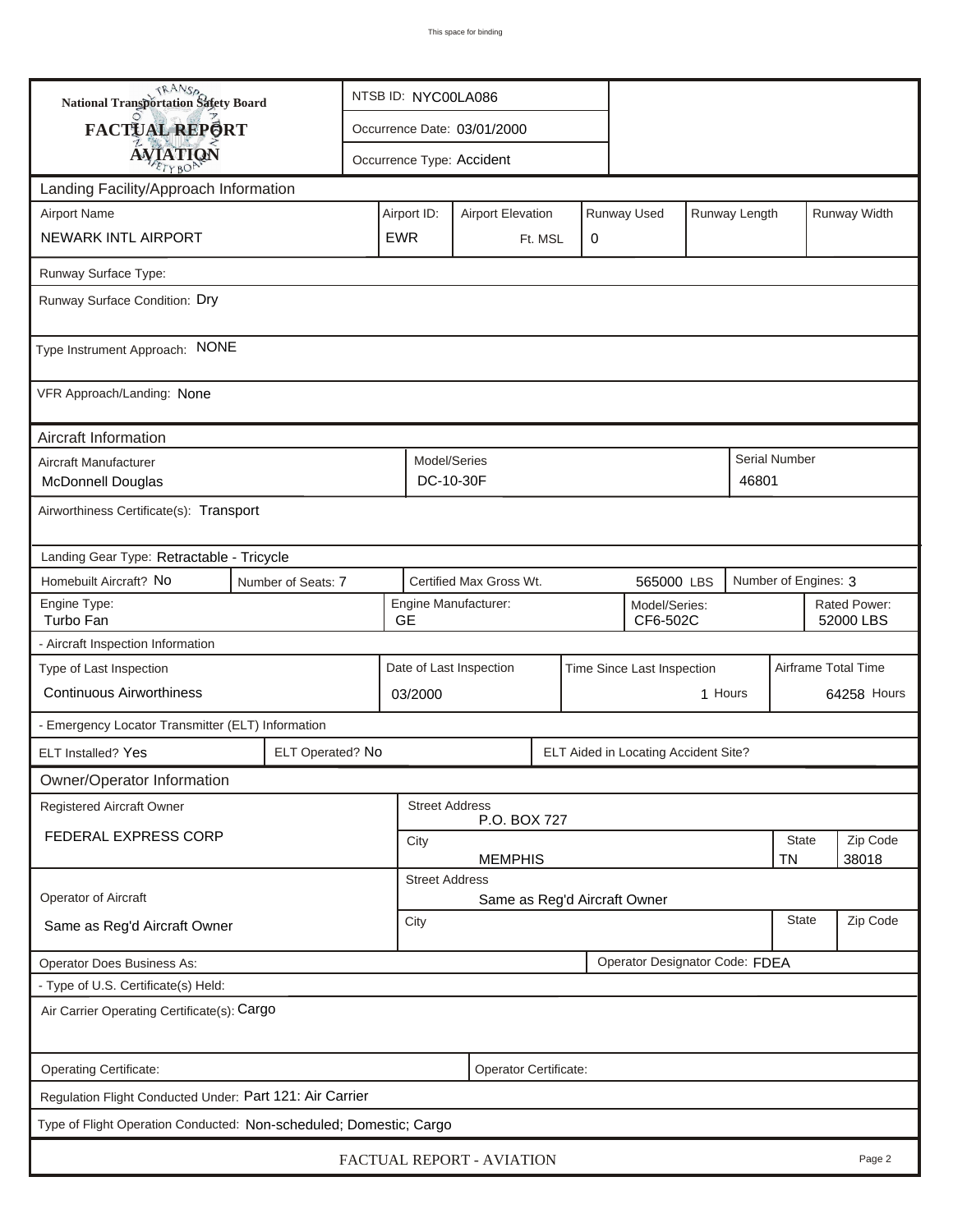| <b>National Transportation Safety Board</b>                                           | NTSB ID: NYC00LA086 |                  |  |                                                                         |                             |  |                           |                                      |                     |                           |                      |              |  |  |
|---------------------------------------------------------------------------------------|---------------------|------------------|--|-------------------------------------------------------------------------|-----------------------------|--|---------------------------|--------------------------------------|---------------------|---------------------------|----------------------|--------------|--|--|
| FACTUAL REPORT                                                                        |                     |                  |  |                                                                         | Occurrence Date: 03/01/2000 |  |                           |                                      |                     |                           |                      |              |  |  |
|                                                                                       | <b>AVIATION</b>     |                  |  |                                                                         |                             |  | Occurrence Type: Accident |                                      |                     |                           |                      |              |  |  |
| Landing Facility/Approach Information                                                 |                     |                  |  |                                                                         |                             |  |                           |                                      |                     |                           |                      |              |  |  |
| <b>Airport Name</b>                                                                   |                     |                  |  | Runway Used<br>Airport ID:<br><b>Airport Elevation</b><br>Runway Length |                             |  |                           |                                      |                     |                           |                      | Runway Width |  |  |
| NEWARK INTL AIRPORT<br><b>EWR</b>                                                     |                     |                  |  |                                                                         | 0<br>Ft. MSL                |  |                           |                                      |                     |                           |                      |              |  |  |
| Runway Surface Type:                                                                  |                     |                  |  |                                                                         |                             |  |                           |                                      |                     |                           |                      |              |  |  |
| Runway Surface Condition: Dry                                                         |                     |                  |  |                                                                         |                             |  |                           |                                      |                     |                           |                      |              |  |  |
| Type Instrument Approach: NONE                                                        |                     |                  |  |                                                                         |                             |  |                           |                                      |                     |                           |                      |              |  |  |
| VFR Approach/Landing: None                                                            |                     |                  |  |                                                                         |                             |  |                           |                                      |                     |                           |                      |              |  |  |
| Aircraft Information                                                                  |                     |                  |  |                                                                         |                             |  |                           |                                      |                     |                           |                      |              |  |  |
| Aircraft Manufacturer<br>McDonnell Douglas                                            |                     |                  |  | Model/Series<br>DC-10-30F<br>46801                                      |                             |  |                           |                                      |                     |                           | <b>Serial Number</b> |              |  |  |
| Airworthiness Certificate(s): Transport                                               |                     |                  |  |                                                                         |                             |  |                           |                                      |                     |                           |                      |              |  |  |
| Landing Gear Type: Retractable - Tricycle                                             |                     |                  |  |                                                                         |                             |  |                           |                                      |                     |                           |                      |              |  |  |
| Homebuilt Aircraft? No<br>Certified Max Gross Wt.<br>Number of Seats: 7<br>565000 LBS |                     |                  |  |                                                                         |                             |  |                           | Number of Engines: 3                 |                     |                           |                      |              |  |  |
| Engine Type:<br>Turbo Fan                                                             |                     |                  |  | Engine Manufacturer:<br>Model/Series:<br><b>GE</b><br>CF6-502C          |                             |  |                           |                                      |                     | Rated Power:<br>52000 LBS |                      |              |  |  |
| - Aircraft Inspection Information                                                     |                     |                  |  |                                                                         |                             |  |                           |                                      |                     |                           |                      |              |  |  |
| Type of Last Inspection                                                               |                     |                  |  | Date of Last Inspection<br>Time Since Last Inspection                   |                             |  |                           |                                      | Airframe Total Time |                           |                      |              |  |  |
| <b>Continuous Airworthiness</b>                                                       |                     |                  |  | 03/2000                                                                 |                             |  |                           |                                      | 1 Hours             |                           |                      | 64258 Hours  |  |  |
| - Emergency Locator Transmitter (ELT) Information                                     |                     |                  |  |                                                                         |                             |  |                           |                                      |                     |                           |                      |              |  |  |
| ELT Installed? Yes                                                                    |                     | ELT Operated? No |  |                                                                         |                             |  |                           | ELT Aided in Locating Accident Site? |                     |                           |                      |              |  |  |
| Owner/Operator Information                                                            |                     |                  |  |                                                                         |                             |  |                           |                                      |                     |                           |                      |              |  |  |
| <b>Registered Aircraft Owner</b><br><b>Street Address</b><br>P.O. BOX 727             |                     |                  |  |                                                                         |                             |  |                           |                                      |                     |                           |                      |              |  |  |
| FEDERAL EXPRESS CORP                                                                  |                     |                  |  | City                                                                    |                             |  |                           |                                      |                     |                           |                      | Zip Code     |  |  |
|                                                                                       |                     |                  |  | <b>MEMPHIS</b><br><b>TN</b><br>38018<br><b>Street Address</b>           |                             |  |                           |                                      |                     |                           |                      |              |  |  |
| Operator of Aircraft                                                                  |                     |                  |  | Same as Reg'd Aircraft Owner                                            |                             |  |                           |                                      |                     |                           |                      |              |  |  |
| Same as Reg'd Aircraft Owner                                                          |                     |                  |  | City                                                                    |                             |  |                           |                                      |                     |                           | <b>State</b>         | Zip Code     |  |  |
| Operator Designator Code: FDEA<br><b>Operator Does Business As:</b>                   |                     |                  |  |                                                                         |                             |  |                           |                                      |                     |                           |                      |              |  |  |
| - Type of U.S. Certificate(s) Held:                                                   |                     |                  |  |                                                                         |                             |  |                           |                                      |                     |                           |                      |              |  |  |
| Air Carrier Operating Certificate(s): Cargo                                           |                     |                  |  |                                                                         |                             |  |                           |                                      |                     |                           |                      |              |  |  |
| Operating Certificate:                                                                |                     |                  |  |                                                                         | Operator Certificate:       |  |                           |                                      |                     |                           |                      |              |  |  |
| Regulation Flight Conducted Under: Part 121: Air Carrier                              |                     |                  |  |                                                                         |                             |  |                           |                                      |                     |                           |                      |              |  |  |
| Type of Flight Operation Conducted: Non-scheduled; Domestic; Cargo                    |                     |                  |  |                                                                         |                             |  |                           |                                      |                     |                           |                      |              |  |  |
| FACTUAL REPORT - AVIATION<br>Page 2                                                   |                     |                  |  |                                                                         |                             |  |                           |                                      |                     |                           |                      |              |  |  |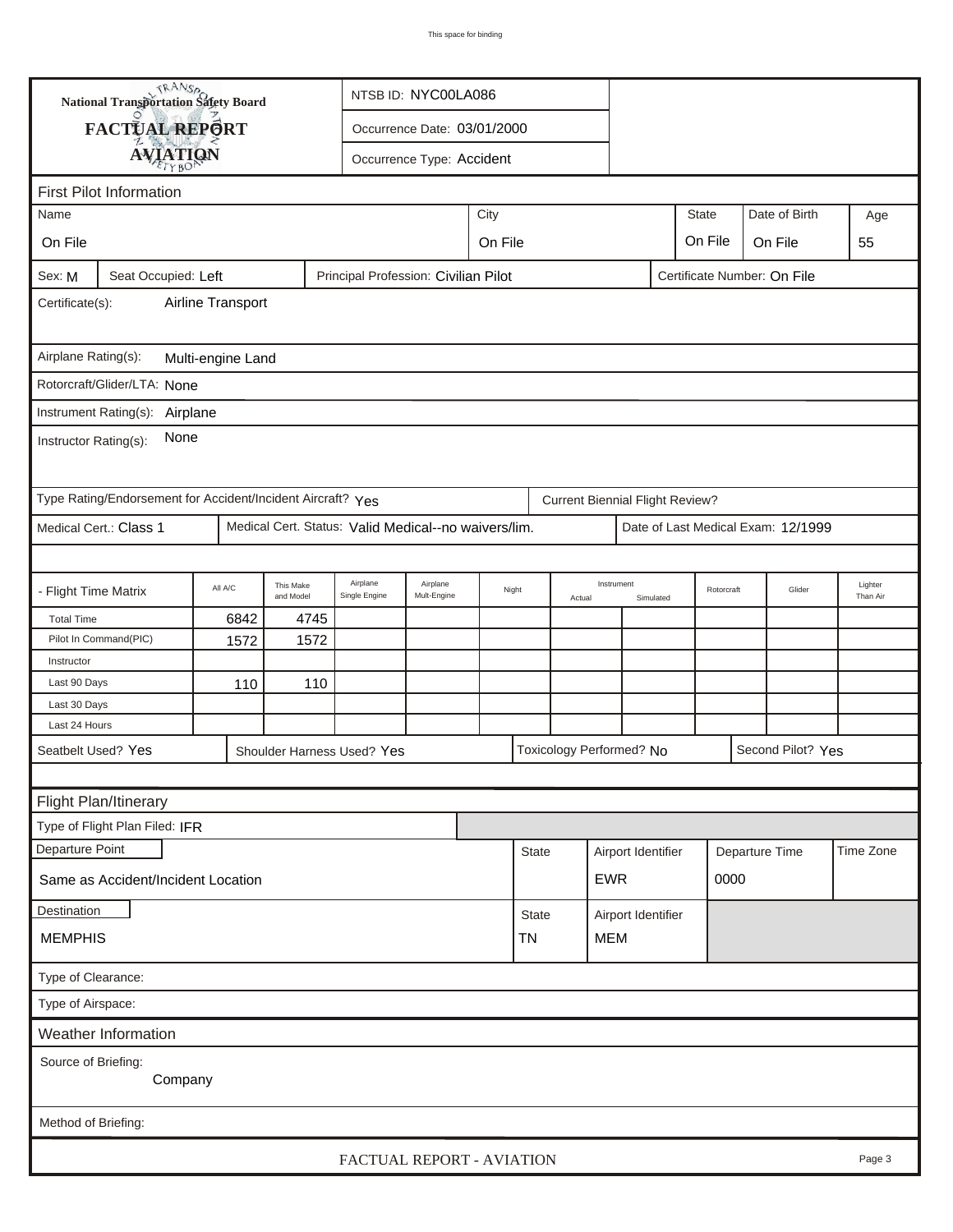|                                                                                                      | <b>National Transportation Safety Board</b>                 |         |                        |                                                      | NTSB ID: NYC00LA086              |                         |              |                         |                                        |                    |  |                |                                    |           |
|------------------------------------------------------------------------------------------------------|-------------------------------------------------------------|---------|------------------------|------------------------------------------------------|----------------------------------|-------------------------|--------------|-------------------------|----------------------------------------|--------------------|--|----------------|------------------------------------|-----------|
|                                                                                                      | FACTUAL REPORT                                              |         |                        |                                                      | Occurrence Date: 03/01/2000      |                         |              |                         |                                        |                    |  |                |                                    |           |
|                                                                                                      |                                                             |         |                        |                                                      | Occurrence Type: Accident        |                         |              |                         |                                        |                    |  |                |                                    |           |
| <b>AVIATION</b>                                                                                      |                                                             |         |                        |                                                      |                                  |                         |              |                         |                                        |                    |  |                |                                    |           |
| <b>First Pilot Information</b><br>City                                                               |                                                             |         |                        |                                                      |                                  |                         |              |                         |                                        |                    |  |                |                                    |           |
| Name                                                                                                 |                                                             |         |                        |                                                      |                                  |                         |              |                         |                                        | <b>State</b>       |  | Date of Birth  | Age                                |           |
| On File                                                                                              |                                                             |         |                        |                                                      | On File<br>On File<br>On File    |                         |              |                         |                                        |                    |  |                |                                    | 55        |
| Principal Profession: Civilian Pilot<br>Certificate Number: On File<br>Seat Occupied: Left<br>Sex: M |                                                             |         |                        |                                                      |                                  |                         |              |                         |                                        |                    |  |                |                                    |           |
| Airline Transport<br>Certificate(s):                                                                 |                                                             |         |                        |                                                      |                                  |                         |              |                         |                                        |                    |  |                |                                    |           |
| Airplane Rating(s):<br>Multi-engine Land                                                             |                                                             |         |                        |                                                      |                                  |                         |              |                         |                                        |                    |  |                |                                    |           |
| Rotorcraft/Glider/LTA: None                                                                          |                                                             |         |                        |                                                      |                                  |                         |              |                         |                                        |                    |  |                |                                    |           |
|                                                                                                      | Instrument Rating(s): Airplane                              |         |                        |                                                      |                                  |                         |              |                         |                                        |                    |  |                |                                    |           |
| None<br>Instructor Rating(s):                                                                        |                                                             |         |                        |                                                      |                                  |                         |              |                         |                                        |                    |  |                |                                    |           |
|                                                                                                      | Type Rating/Endorsement for Accident/Incident Aircraft? Yes |         |                        |                                                      |                                  |                         |              |                         | <b>Current Biennial Flight Review?</b> |                    |  |                |                                    |           |
|                                                                                                      | Medical Cert.: Class 1                                      |         |                        | Medical Cert. Status: Valid Medical--no waivers/lim. |                                  |                         |              |                         |                                        |                    |  |                | Date of Last Medical Exam: 12/1999 |           |
|                                                                                                      |                                                             |         |                        |                                                      |                                  |                         |              |                         |                                        |                    |  |                |                                    |           |
| - Flight Time Matrix                                                                                 |                                                             | All A/C | This Make<br>and Model | Airplane<br>Single Engine                            | Airplane<br>Night<br>Mult-Engine |                         | Actual       | Instrument<br>Simulated |                                        | Rotorcraft         |  | Glider         | Lighter<br>Than Air                |           |
| <b>Total Time</b>                                                                                    |                                                             | 6842    | 4745                   |                                                      |                                  |                         |              |                         |                                        |                    |  |                |                                    |           |
|                                                                                                      | Pilot In Command(PIC)                                       | 1572    | 1572                   |                                                      |                                  |                         |              |                         |                                        |                    |  |                |                                    |           |
| Instructor                                                                                           |                                                             |         |                        |                                                      |                                  |                         |              |                         |                                        |                    |  |                |                                    |           |
| Last 90 Days                                                                                         |                                                             | 110     | 110                    |                                                      |                                  |                         |              |                         |                                        |                    |  |                |                                    |           |
| Last 30 Days                                                                                         |                                                             |         |                        |                                                      |                                  |                         |              |                         |                                        |                    |  |                |                                    |           |
| Last 24 Hours                                                                                        |                                                             |         |                        |                                                      |                                  |                         |              |                         |                                        |                    |  |                |                                    |           |
| Seatbelt Used? Yes<br>Toxicology Performed? No<br>Shoulder Harness Used? Yes                         |                                                             |         |                        |                                                      |                                  | Second Pilot? Yes       |              |                         |                                        |                    |  |                |                                    |           |
|                                                                                                      |                                                             |         |                        |                                                      |                                  |                         |              |                         |                                        |                    |  |                |                                    |           |
|                                                                                                      | Flight Plan/Itinerary                                       |         |                        |                                                      |                                  |                         |              |                         |                                        |                    |  |                |                                    |           |
|                                                                                                      | Type of Flight Plan Filed: IFR                              |         |                        |                                                      |                                  |                         |              |                         |                                        |                    |  |                |                                    |           |
| Departure Point                                                                                      |                                                             |         |                        |                                                      |                                  |                         | <b>State</b> |                         |                                        | Airport Identifier |  | Departure Time |                                    | Time Zone |
| <b>EWR</b><br>0000<br>Same as Accident/Incident Location                                             |                                                             |         |                        |                                                      |                                  |                         |              |                         |                                        |                    |  |                |                                    |           |
| Destination                                                                                          |                                                             |         |                        |                                                      |                                  |                         | State        |                         | Airport Identifier                     |                    |  |                |                                    |           |
| <b>MEMPHIS</b>                                                                                       |                                                             |         |                        |                                                      |                                  | <b>MEM</b><br><b>TN</b> |              |                         |                                        |                    |  |                |                                    |           |
| Type of Clearance:                                                                                   |                                                             |         |                        |                                                      |                                  |                         |              |                         |                                        |                    |  |                |                                    |           |
| Type of Airspace:                                                                                    |                                                             |         |                        |                                                      |                                  |                         |              |                         |                                        |                    |  |                |                                    |           |
| Weather Information                                                                                  |                                                             |         |                        |                                                      |                                  |                         |              |                         |                                        |                    |  |                |                                    |           |
| Source of Briefing:<br>Company                                                                       |                                                             |         |                        |                                                      |                                  |                         |              |                         |                                        |                    |  |                |                                    |           |
| Method of Briefing:                                                                                  |                                                             |         |                        |                                                      |                                  |                         |              |                         |                                        |                    |  |                |                                    |           |
|                                                                                                      |                                                             |         |                        |                                                      |                                  |                         |              |                         |                                        |                    |  |                |                                    |           |
|                                                                                                      |                                                             |         |                        | FACTUAL REPORT - AVIATION                            |                                  |                         |              |                         |                                        |                    |  |                |                                    | Page 3    |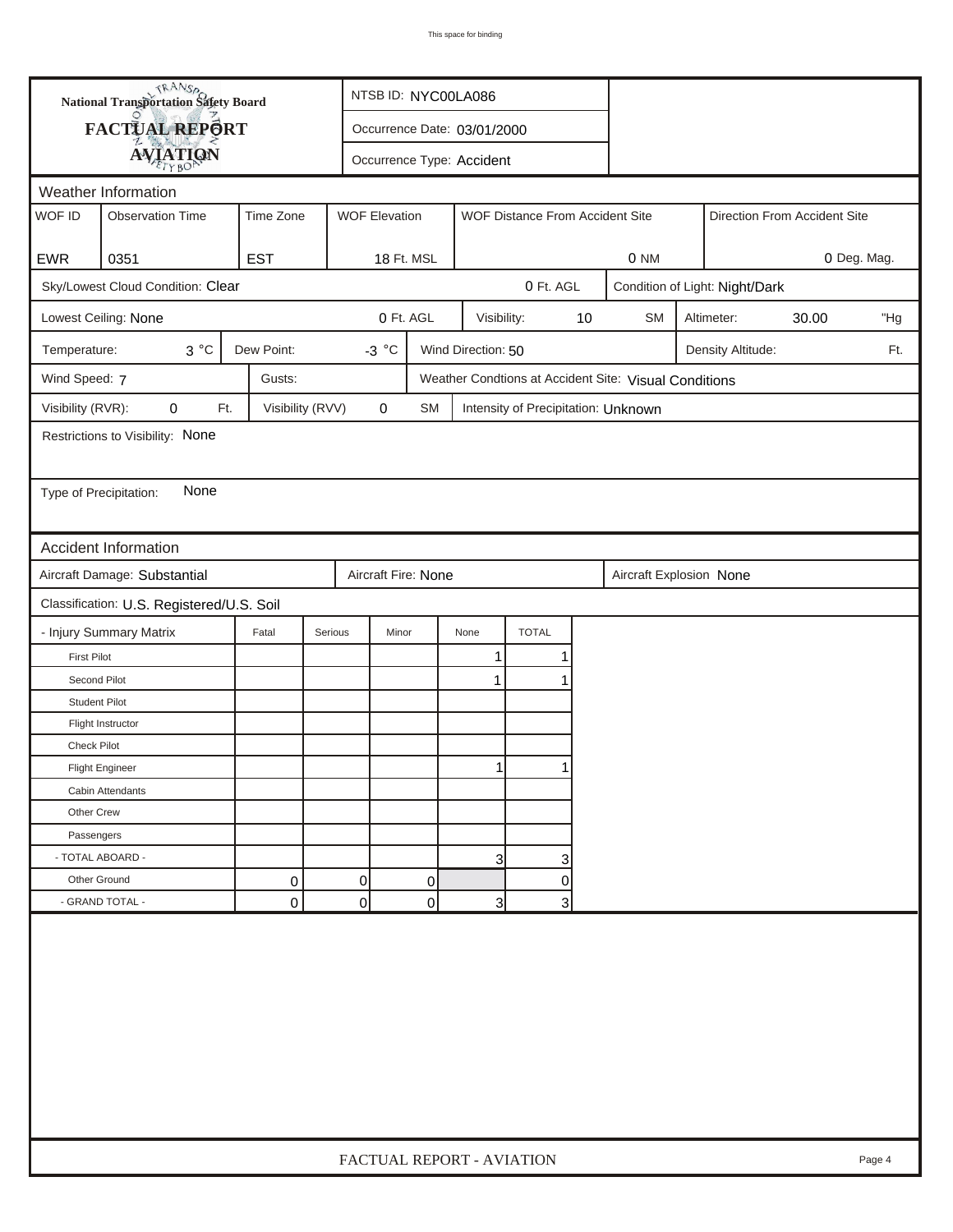| <b>National Transportation Safety Board</b><br>FACTUAL REPORT<br>Occurrence Date: 03/01/2000<br><b>AVIATION</b><br>Occurrence Type: Accident<br>Weather Information<br>WOF ID<br><b>WOF Elevation</b><br><b>Observation Time</b><br>Time Zone<br>WOF Distance From Accident Site<br>Direction From Accident Site<br><b>EST</b><br><b>EWR</b><br>0351<br>18 Ft. MSL<br>0 NM<br>Sky/Lowest Cloud Condition: Clear<br>0 Ft. AGL<br>Condition of Light: Night/Dark<br>0 Ft. AGL<br>$10$<br>Lowest Ceiling: None<br>Visibility:<br><b>SM</b><br>Altimeter:<br>30.00<br>$3^{\circ}C$<br>Dew Point:<br>$-3 °C$<br>Wind Direction: 50<br>Temperature:<br>Density Altitude:<br>Wind Speed: 7<br>Gusts:<br>Weather Condtions at Accident Site: Visual Conditions<br>Visibility (RVR):<br>Visibility (RVV)<br>$\pmb{0}$<br>0<br>Ft.<br>SM<br>Intensity of Precipitation: Unknown<br>Restrictions to Visibility: None<br>None<br>Type of Precipitation:<br><b>Accident Information</b> | 0 Deg. Mag.<br>"Hg<br>Ft. |  |  |  |  |  |  |  |  |
|----------------------------------------------------------------------------------------------------------------------------------------------------------------------------------------------------------------------------------------------------------------------------------------------------------------------------------------------------------------------------------------------------------------------------------------------------------------------------------------------------------------------------------------------------------------------------------------------------------------------------------------------------------------------------------------------------------------------------------------------------------------------------------------------------------------------------------------------------------------------------------------------------------------------------------------------------------------------------|---------------------------|--|--|--|--|--|--|--|--|
|                                                                                                                                                                                                                                                                                                                                                                                                                                                                                                                                                                                                                                                                                                                                                                                                                                                                                                                                                                            |                           |  |  |  |  |  |  |  |  |
|                                                                                                                                                                                                                                                                                                                                                                                                                                                                                                                                                                                                                                                                                                                                                                                                                                                                                                                                                                            |                           |  |  |  |  |  |  |  |  |
|                                                                                                                                                                                                                                                                                                                                                                                                                                                                                                                                                                                                                                                                                                                                                                                                                                                                                                                                                                            |                           |  |  |  |  |  |  |  |  |
|                                                                                                                                                                                                                                                                                                                                                                                                                                                                                                                                                                                                                                                                                                                                                                                                                                                                                                                                                                            |                           |  |  |  |  |  |  |  |  |
|                                                                                                                                                                                                                                                                                                                                                                                                                                                                                                                                                                                                                                                                                                                                                                                                                                                                                                                                                                            |                           |  |  |  |  |  |  |  |  |
|                                                                                                                                                                                                                                                                                                                                                                                                                                                                                                                                                                                                                                                                                                                                                                                                                                                                                                                                                                            |                           |  |  |  |  |  |  |  |  |
|                                                                                                                                                                                                                                                                                                                                                                                                                                                                                                                                                                                                                                                                                                                                                                                                                                                                                                                                                                            |                           |  |  |  |  |  |  |  |  |
|                                                                                                                                                                                                                                                                                                                                                                                                                                                                                                                                                                                                                                                                                                                                                                                                                                                                                                                                                                            |                           |  |  |  |  |  |  |  |  |
|                                                                                                                                                                                                                                                                                                                                                                                                                                                                                                                                                                                                                                                                                                                                                                                                                                                                                                                                                                            |                           |  |  |  |  |  |  |  |  |
|                                                                                                                                                                                                                                                                                                                                                                                                                                                                                                                                                                                                                                                                                                                                                                                                                                                                                                                                                                            |                           |  |  |  |  |  |  |  |  |
|                                                                                                                                                                                                                                                                                                                                                                                                                                                                                                                                                                                                                                                                                                                                                                                                                                                                                                                                                                            |                           |  |  |  |  |  |  |  |  |
|                                                                                                                                                                                                                                                                                                                                                                                                                                                                                                                                                                                                                                                                                                                                                                                                                                                                                                                                                                            |                           |  |  |  |  |  |  |  |  |
|                                                                                                                                                                                                                                                                                                                                                                                                                                                                                                                                                                                                                                                                                                                                                                                                                                                                                                                                                                            |                           |  |  |  |  |  |  |  |  |
|                                                                                                                                                                                                                                                                                                                                                                                                                                                                                                                                                                                                                                                                                                                                                                                                                                                                                                                                                                            |                           |  |  |  |  |  |  |  |  |
|                                                                                                                                                                                                                                                                                                                                                                                                                                                                                                                                                                                                                                                                                                                                                                                                                                                                                                                                                                            |                           |  |  |  |  |  |  |  |  |
|                                                                                                                                                                                                                                                                                                                                                                                                                                                                                                                                                                                                                                                                                                                                                                                                                                                                                                                                                                            |                           |  |  |  |  |  |  |  |  |
|                                                                                                                                                                                                                                                                                                                                                                                                                                                                                                                                                                                                                                                                                                                                                                                                                                                                                                                                                                            |                           |  |  |  |  |  |  |  |  |
| Aircraft Damage: Substantial<br>Aircraft Fire: None<br>Aircraft Explosion None                                                                                                                                                                                                                                                                                                                                                                                                                                                                                                                                                                                                                                                                                                                                                                                                                                                                                             |                           |  |  |  |  |  |  |  |  |
| Classification: U.S. Registered/U.S. Soil                                                                                                                                                                                                                                                                                                                                                                                                                                                                                                                                                                                                                                                                                                                                                                                                                                                                                                                                  |                           |  |  |  |  |  |  |  |  |
| <b>TOTAL</b><br>- Injury Summary Matrix<br>Fatal<br>Serious<br>Minor<br>None                                                                                                                                                                                                                                                                                                                                                                                                                                                                                                                                                                                                                                                                                                                                                                                                                                                                                               |                           |  |  |  |  |  |  |  |  |
| <b>First Pilot</b><br>1<br>Second Pilot<br>$\mathbf 1$                                                                                                                                                                                                                                                                                                                                                                                                                                                                                                                                                                                                                                                                                                                                                                                                                                                                                                                     |                           |  |  |  |  |  |  |  |  |
| <b>Student Pilot</b>                                                                                                                                                                                                                                                                                                                                                                                                                                                                                                                                                                                                                                                                                                                                                                                                                                                                                                                                                       |                           |  |  |  |  |  |  |  |  |
| Flight Instructor                                                                                                                                                                                                                                                                                                                                                                                                                                                                                                                                                                                                                                                                                                                                                                                                                                                                                                                                                          |                           |  |  |  |  |  |  |  |  |
| <b>Check Pilot</b>                                                                                                                                                                                                                                                                                                                                                                                                                                                                                                                                                                                                                                                                                                                                                                                                                                                                                                                                                         |                           |  |  |  |  |  |  |  |  |
| <b>Flight Engineer</b>                                                                                                                                                                                                                                                                                                                                                                                                                                                                                                                                                                                                                                                                                                                                                                                                                                                                                                                                                     |                           |  |  |  |  |  |  |  |  |
| Cabin Attendants                                                                                                                                                                                                                                                                                                                                                                                                                                                                                                                                                                                                                                                                                                                                                                                                                                                                                                                                                           |                           |  |  |  |  |  |  |  |  |
| Other Crew                                                                                                                                                                                                                                                                                                                                                                                                                                                                                                                                                                                                                                                                                                                                                                                                                                                                                                                                                                 |                           |  |  |  |  |  |  |  |  |
| Passengers                                                                                                                                                                                                                                                                                                                                                                                                                                                                                                                                                                                                                                                                                                                                                                                                                                                                                                                                                                 |                           |  |  |  |  |  |  |  |  |
| - TOTAL ABOARD -<br>3<br>3                                                                                                                                                                                                                                                                                                                                                                                                                                                                                                                                                                                                                                                                                                                                                                                                                                                                                                                                                 |                           |  |  |  |  |  |  |  |  |
| 0<br>Other Ground<br>0<br>0<br>0                                                                                                                                                                                                                                                                                                                                                                                                                                                                                                                                                                                                                                                                                                                                                                                                                                                                                                                                           |                           |  |  |  |  |  |  |  |  |
| - GRAND TOTAL -<br>$\overline{0}$<br>0<br>0<br>$\overline{3}$<br>3                                                                                                                                                                                                                                                                                                                                                                                                                                                                                                                                                                                                                                                                                                                                                                                                                                                                                                         |                           |  |  |  |  |  |  |  |  |